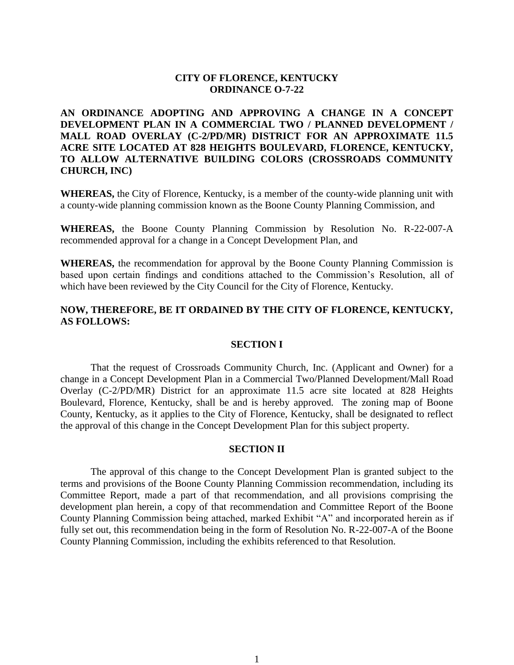## **CITY OF FLORENCE, KENTUCKY ORDINANCE O-7-22**

**AN ORDINANCE ADOPTING AND APPROVING A CHANGE IN A CONCEPT DEVELOPMENT PLAN IN A COMMERCIAL TWO / PLANNED DEVELOPMENT / MALL ROAD OVERLAY (C-2/PD/MR) DISTRICT FOR AN APPROXIMATE 11.5 ACRE SITE LOCATED AT 828 HEIGHTS BOULEVARD, FLORENCE, KENTUCKY, TO ALLOW ALTERNATIVE BUILDING COLORS (CROSSROADS COMMUNITY CHURCH, INC)**

**WHEREAS,** the City of Florence, Kentucky, is a member of the county-wide planning unit with a county-wide planning commission known as the Boone County Planning Commission, and

**WHEREAS,** the Boone County Planning Commission by Resolution No. R-22-007-A recommended approval for a change in a Concept Development Plan, and

**WHEREAS,** the recommendation for approval by the Boone County Planning Commission is based upon certain findings and conditions attached to the Commission's Resolution, all of which have been reviewed by the City Council for the City of Florence, Kentucky.

## **NOW, THEREFORE, BE IT ORDAINED BY THE CITY OF FLORENCE, KENTUCKY, AS FOLLOWS:**

#### **SECTION I**

That the request of Crossroads Community Church, Inc. (Applicant and Owner) for a change in a Concept Development Plan in a Commercial Two/Planned Development/Mall Road Overlay (C-2/PD/MR) District for an approximate 11.5 acre site located at 828 Heights Boulevard, Florence, Kentucky, shall be and is hereby approved. The zoning map of Boone County, Kentucky, as it applies to the City of Florence, Kentucky, shall be designated to reflect the approval of this change in the Concept Development Plan for this subject property.

#### **SECTION II**

The approval of this change to the Concept Development Plan is granted subject to the terms and provisions of the Boone County Planning Commission recommendation, including its Committee Report, made a part of that recommendation, and all provisions comprising the development plan herein, a copy of that recommendation and Committee Report of the Boone County Planning Commission being attached, marked Exhibit "A" and incorporated herein as if fully set out, this recommendation being in the form of Resolution No. R-22-007-A of the Boone County Planning Commission, including the exhibits referenced to that Resolution.